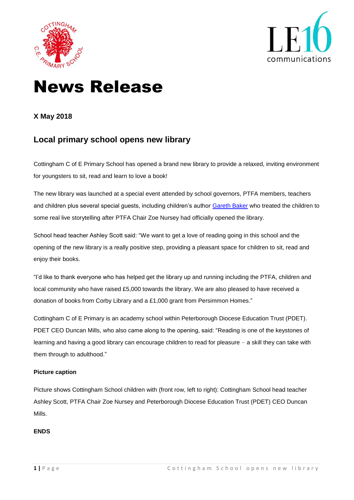



# News Release

### **X May 2018**

## **Local primary school opens new library**

Cottingham C of E Primary School has opened a brand new library to provide a relaxed, inviting environment for youngsters to sit, read and learn to love a book!

The new library was launched at a special event attended by school governors, PTFA members, teachers and children plus several special guests, including children's author [Gareth Baker](https://www.gareth-baker.com/) who treated the children to some real live storytelling after PTFA Chair Zoe Nursey had officially opened the library.

School head teacher Ashley Scott said: "We want to get a love of reading going in this school and the opening of the new library is a really positive step, providing a pleasant space for children to sit, read and enjoy their books.

"I'd like to thank everyone who has helped get the library up and running including the PTFA, children and local community who have raised £5,000 towards the library. We are also pleased to have received a donation of books from Corby Library and a £1,000 grant from Persimmon Homes."

Cottingham C of E Primary is an academy school within Peterborough Diocese Education Trust (PDET). PDET CEO Duncan Mills, who also came along to the opening, said: "Reading is one of the keystones of learning and having a good library can encourage children to read for pleasure – a skill they can take with them through to adulthood."

#### **Picture caption**

Picture shows Cottingham School children with (front row, left to right): Cottingham School head teacher Ashley Scott, PTFA Chair Zoe Nursey and Peterborough Diocese Education Trust (PDET) CEO Duncan Mills.

#### **ENDS**